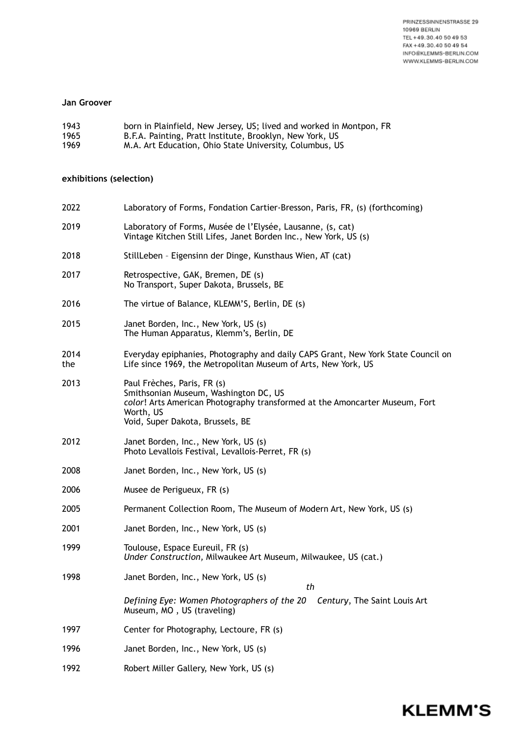PRINZESSINNENSTRASSE 29 10969 BERLIN TEL +49.30.40 50 49 53 FAX +49.30.40 50 49 54 INFO@KLEMMS-BERLIN.COM WWW.KLEMMS-BERLIN.COM

**KLEMM'S** 

## **Jan Groover**

| 1943 | born in Plainfield, New Jersey, US; lived and worked in Montpon, FR |
|------|---------------------------------------------------------------------|
| 1965 | B.F.A. Painting, Pratt Institute, Brooklyn, New York, US            |
| 1969 | M.A. Art Education, Ohio State University, Columbus, US             |

## **exhibitions (selection)**

| 2022        | Laboratory of Forms, Fondation Cartier-Bresson, Paris, FR, (s) (forthcoming)                                                                                                                         |
|-------------|------------------------------------------------------------------------------------------------------------------------------------------------------------------------------------------------------|
| 2019        | Laboratory of Forms, Musée de l'Elysée, Lausanne, (s, cat)<br>Vintage Kitchen Still Lifes, Janet Borden Inc., New York, US (s)                                                                       |
| 2018        | StillLeben - Eigensinn der Dinge, Kunsthaus Wien, AT (cat)                                                                                                                                           |
| 2017        | Retrospective, GAK, Bremen, DE (s)<br>No Transport, Super Dakota, Brussels, BE                                                                                                                       |
| 2016        | The virtue of Balance, KLEMM'S, Berlin, DE (s)                                                                                                                                                       |
| 2015        | Janet Borden, Inc., New York, US (s)<br>The Human Apparatus, Klemm's, Berlin, DE                                                                                                                     |
| 2014<br>the | Everyday epiphanies, Photography and daily CAPS Grant, New York State Council on<br>Life since 1969, the Metropolitan Museum of Arts, New York, US                                                   |
| 2013        | Paul Frèches, Paris, FR (s)<br>Smithsonian Museum, Washington DC, US<br>color! Arts American Photography transformed at the Amoncarter Museum, Fort<br>Worth, US<br>Void, Super Dakota, Brussels, BE |
| 2012        | Janet Borden, Inc., New York, US (s)<br>Photo Levallois Festival, Levallois-Perret, FR (s)                                                                                                           |
| 2008        | Janet Borden, Inc., New York, US (s)                                                                                                                                                                 |
| 2006        | Musee de Perigueux, FR (s)                                                                                                                                                                           |
| 2005        | Permanent Collection Room, The Museum of Modern Art, New York, US (s)                                                                                                                                |
| 2001        | Janet Borden, Inc., New York, US (s)                                                                                                                                                                 |
| 1999        | Toulouse, Espace Eureuil, FR (s)<br>Under Construction, Milwaukee Art Museum, Milwaukee, US (cat.)                                                                                                   |
| 1998        | Janet Borden, Inc., New York, US (s)<br>th                                                                                                                                                           |
|             | Defining Eye: Women Photographers of the 20<br>Century, The Saint Louis Art<br>Museum, MO, US (traveling)                                                                                            |
| 1997        | Center for Photography, Lectoure, FR (s)                                                                                                                                                             |
| 1996        | Janet Borden, Inc., New York, US (s)                                                                                                                                                                 |
| 1992        | Robert Miller Gallery, New York, US (s)                                                                                                                                                              |
|             |                                                                                                                                                                                                      |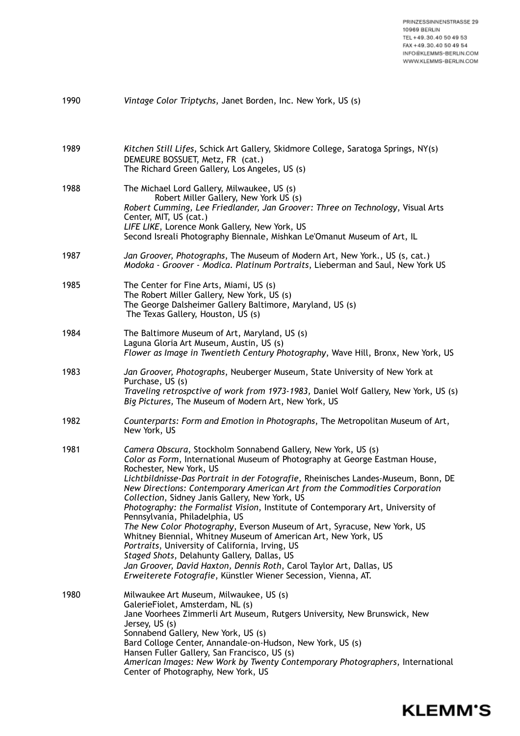| 1990 | Vintage Color Triptychs, Janet Borden, Inc. New York, US (s)                                                                                                                                                                                                                                                                                                                                                                                                                                                                                                                                                                                                                                                                                                                                                                                                                                                 |
|------|--------------------------------------------------------------------------------------------------------------------------------------------------------------------------------------------------------------------------------------------------------------------------------------------------------------------------------------------------------------------------------------------------------------------------------------------------------------------------------------------------------------------------------------------------------------------------------------------------------------------------------------------------------------------------------------------------------------------------------------------------------------------------------------------------------------------------------------------------------------------------------------------------------------|
| 1989 | Kitchen Still Lifes, Schick Art Gallery, Skidmore College, Saratoga Springs, NY(s)<br>DEMEURE BOSSUET, Metz, FR (cat.)<br>The Richard Green Gallery, Los Angeles, US (s)                                                                                                                                                                                                                                                                                                                                                                                                                                                                                                                                                                                                                                                                                                                                     |
| 1988 | The Michael Lord Gallery, Milwaukee, US (s)<br>Robert Miller Gallery, New York US (s)<br>Robert Cumming, Lee Friedlander, Jan Groover: Three on Technology, Visual Arts<br>Center, MIT, US (cat.)<br>LIFE LIKE, Lorence Monk Gallery, New York, US<br>Second Isreali Photography Biennale, Mishkan Le'Omanut Museum of Art, IL                                                                                                                                                                                                                                                                                                                                                                                                                                                                                                                                                                               |
| 1987 | Jan Groover, Photographs, The Museum of Modern Art, New York., US (s, cat.)<br>Modoka - Groover - Modica. Platinum Portraits, Lieberman and Saul, New York US                                                                                                                                                                                                                                                                                                                                                                                                                                                                                                                                                                                                                                                                                                                                                |
| 1985 | The Center for Fine Arts, Miami, US (s)<br>The Robert Miller Gallery, New York, US (s)<br>The George Dalsheimer Gallery Baltimore, Maryland, US (s)<br>The Texas Gallery, Houston, US (s)                                                                                                                                                                                                                                                                                                                                                                                                                                                                                                                                                                                                                                                                                                                    |
| 1984 | The Baltimore Museum of Art, Maryland, US (s)<br>Laguna Gloria Art Museum, Austin, US (s)<br>Flower as Image in Twentieth Century Photography, Wave Hill, Bronx, New York, US                                                                                                                                                                                                                                                                                                                                                                                                                                                                                                                                                                                                                                                                                                                                |
| 1983 | Jan Groover, Photographs, Neuberger Museum, State University of New York at<br>Purchase, US (s)<br>Traveling retrospctive of work from 1973-1983, Daniel Wolf Gallery, New York, US (s)<br>Big Pictures, The Museum of Modern Art, New York, US                                                                                                                                                                                                                                                                                                                                                                                                                                                                                                                                                                                                                                                              |
| 1982 | Counterparts: Form and Emotion in Photographs, The Metropolitan Museum of Art,<br>New York, US                                                                                                                                                                                                                                                                                                                                                                                                                                                                                                                                                                                                                                                                                                                                                                                                               |
| 1981 | Camera Obscura, Stockholm Sonnabend Gallery, New York, US (s)<br>Color as Form, International Museum of Photography at George Eastman House,<br>Rochester, New York, US<br>Lichtbildnisse-Das Portrait in der Fotografie, Rheinisches Landes-Museum, Bonn, DE<br>New Directions: Contemporary American Art from the Commodities Corporation<br>Collection, Sidney Janis Gallery, New York, US<br>Photography: the Formalist Vision, Institute of Contemporary Art, University of<br>Pennsylvania, Philadelphia, US<br>The New Color Photography, Everson Museum of Art, Syracuse, New York, US<br>Whitney Biennial, Whitney Museum of American Art, New York, US<br>Portraits, University of California, Irving, US<br>Staged Shots, Delahunty Gallery, Dallas, US<br>Jan Groover, David Haxton, Dennis Roth, Carol Taylor Art, Dallas, US<br>Erweiterete Fotografie, Künstler Wiener Secession, Vienna, AT. |
| 1980 | Milwaukee Art Museum, Milwaukee, US (s)<br>GalerieFiolet, Amsterdam, NL (s)<br>Jane Voorhees Zimmerli Art Museum, Rutgers University, New Brunswick, New<br>Jersey, US (s)<br>Sonnabend Gallery, New York, US (s)<br>Bard Colloge Center, Annandale-on-Hudson, New York, US (s)<br>Hansen Fuller Gallery, San Francisco, US (s)<br>American Images: New Work by Twenty Contemporary Photographers, International<br>Center of Photography, New York, US                                                                                                                                                                                                                                                                                                                                                                                                                                                      |